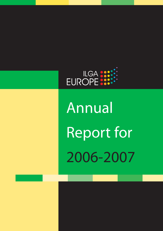

Annual Report for 2006-2007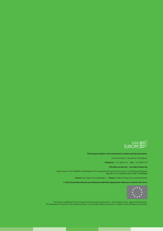

#### **The European Region of the International Lesbian and Gay Association**

rue de la Charité 17, Brussels B-1210 Belgium

**Telephone:** + 32 2 609 54 10 **Fax:** + 32 2 609 54 19

#### **info@ilga-europe.org www.ilga-europe.org**

Bank account # 310-1844088-10 ING Belgium ETT-Cinquantenaire Avenue de Tervueren 10 1040 Brussels Belgium IBAN BE41 3101 8440 8810 BAC (SWIFT): BBRUBEBB

**Layout:** Silja Pogule www.siljadesign.lv **Printer:** Corelio Printing www.corelioprinting.be

**© ILGA-Europe Reproduction permitted, provided that appropriate reference is made to the source**



This Report is published with the support of the European Commission – The European Union against discrimination. The information contained in this publication does not necessarily reflect the position or opinion of the European Commission.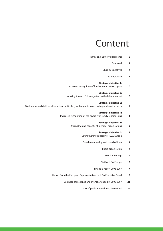## Content

| $\overline{\mathbf{2}}$ | Thanks and acknowledgements                                                                      |
|-------------------------|--------------------------------------------------------------------------------------------------|
| $\overline{2}$          | Foreword                                                                                         |
| 4                       | Future perspectives                                                                              |
| 5                       | <b>Strategic Plan</b>                                                                            |
|                         | <b>Strategic objective 1:</b>                                                                    |
| 6                       | Increased recognition of fundamental human rights                                                |
|                         | <b>Strategic objective 2:</b>                                                                    |
| 8                       | Working towards full integration in the labour market                                            |
|                         | <b>Strategic objective 3:</b>                                                                    |
| 9                       | Working towards full social inclusion, particularly with regards to access to goods and services |
|                         | <b>Strategic objective 4:</b>                                                                    |
| 11                      | Increased recognition of the diversity of family relationships                                   |
|                         | <b>Strategic objective 5:</b>                                                                    |
| 12                      | Strengthening capacity of member organisations                                                   |
| 13                      | <b>Strategic objective 6:</b>                                                                    |
|                         | Strengthening capacity of ILGA-Europe                                                            |
| 14                      | Board membership and board officers                                                              |
| 14                      | Board organisation                                                                               |
| 14                      | Board meetings                                                                                   |
| 15                      | Staff of ILGA-Europe                                                                             |
| 16                      | Financial report 2006-2007                                                                       |
| 19                      | Report from the European Representatives on ILGA Executive Board                                 |
| 21                      | Calendar of meetings and events attended in 2006-2007                                            |
| 26                      | List of publications during 2006-2007                                                            |
|                         |                                                                                                  |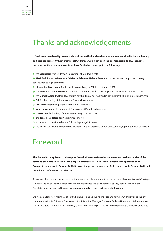### Thanks and acknowledgements

**ILGA-Europe membership, executive board and staff all undertake a tremendous workload in both voluntary and paid capacities. Without this work ILGA-Europe would not be in the position it is in today. Thanks to everyone for their enormous contributions. Particular thanks go to the following:**

- **\*** the **volunteers** who undertake translations of our documents
- **\* Mark Bell, Robert Wintemute, Olivier de Schutter, Helmut Graupner** for their advice, support and strategic contribution to legal strategies
- **\* Lithuanian Gay League** for the work in organising the Vilnius conference 2007
- **\*** the **European Commission** for continued core funding and for the support of the Anti-Discrimination Unit
- **\*** the **Sigrid Rausing Trust** for its continued core funding of our work and in particular in the Programmes Service Area
- **\* OSI** for the funding of the Advocacy Training Programme
- **\* COC** for the resourcing of the Health Advocacy Project
- **\* anonymous donor** for funding of Prides Against Prejudice document
- **\* UNISON UK** for funding of Prides Against Prejudice document
- **\* the Tides Foundation** for Programmes funding
- **\*** all those who contributed to the Scholarships Angel Scheme
- **\*** the various consultants who provided expertise and specialist contribution to documents, reports, seminars and events.

#### Foreword

**This Annual Activity Report is the report from the Executive Board to our members on the activities of the staff and the board in relation to the implementation of ILGA-Europe's Strategic Plan approved by the Budapest conference in October 2004. It covers the period between the Sofia conference in October 2006 and our Vilnius conference in October 2007.**

A very significant amount of work and actions has taken place in order to advance the achievement of each Strategic Objective. As usual, we have given account of our activities and developments as they have occurred in the Newsletter and the Euro-Letter and in a number of media releases, articles and interviews.

We welcome four new members of staff who have joined us during the year and for whom Vilnius will be the first conference. Olimpia Ciripoiu – Finance and Administration Manager, Françoise Barlet – Finance and Administration Officer, Aija Salo – Programmes and Policy Officer and Silvan Agius – Policy and Programmes Officer. We anticipate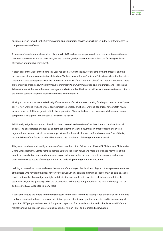one more person to work in the Communication and Information service area will join us in the next few months to complement our staff team.

A number of developments have taken place also in ILGA and we are happy to welcome to our conference the new ILGA Executive Director Trevor Cook, who, we are confident, will play an important role in the further growth and affirmation of our global movement.

A great deal of the work of the board this year has been around the review of our employment practices and the development of our new organisational structure. We have moved from a "horizontal" structure, where the Executive Director was directly responsible for the supervision and work of each member of staff, to a "vertical" structure. There are four service areas, Policy/ Programmes, Programmes/ Policy, Communication and Information, and Finance and Administration. Within each there are managerial and officer roles. The Executive Director then supervises and directs the work of each area working mainly with the management team.

Moving to this structure has entailed a significant amount of work and restructuring for the past one and a half years, but it is now working well and we are seeing improved efficacy and better working conditions for our staff, which include more possibility for growth within the organisation. Thus we believe it has been a good choice and we are completing it by signing with our staff a "réglement de travail".

Additionally a significant amount of work has been devoted to the review of our board manual and our internal policies. The board started this task by bringing together the various documents in order to create our overall organisational manual that will serve as a support tool for the work of board, staff, and volunteers. One of the key responsibilities of the future board will be to see to the completion of the organisational manual.

This year's board was enriched by a number of new members: Ruth Baldacchino, Martin K.I. Christensen, Christine Le Doaré, Linda Freimane, Lisette Kampus, Tomasz Szypula. Together, newer and more experienced members of the board, have worked on our board duties, and in particular to develop our staff team, to accompany and support them in the new structure of the organisation and to develop our organisational documents.

In doing so we realised, more and more, that we were "standing on the shoulders of giants", those previous members of the board who have laid the basis for our current work. In this context, a particular tribute must be paid to Jackie Lewis – without her knowledge, foresight and dedication, we would not have started, let alone completed, this essential work, for the greater good of the organisation. To her goes our gratitude for the time and energy she has dedicated to ILGA-Europe for so many years.

A special thanks, to the whole committed staff team for the great work they accomplished this year again, in order to combat discrimination based on sexual orientation, gender identity and gender expression and to promote equal rights for LGBT people in the whole of Europe and beyond – often in collaboration with other European NGOs, thus mainstreaming our issues in a more global context of human rights and multiple discrimination.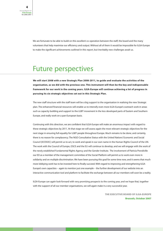We are fortunate to be able to build on this excellent co-operation between the staff, the board and the many volunteers that help maximise our efficiency and output. Without all of them it would be impossible for ILGA-Europe to make the significant achievements outlined in this report, but inevitably new challenges await us.

## Future perspectives

**We will start 2008 with a new Strategic Plan 2008-2011, to guide and evaluate the activities of the organisation, as we did with the previous one. This instrument will then be the key and indispensable framework for our work in the coming years. ILGA-Europe will continue achieving a lot of progress in pursuing its six strategic objectives set out in this Strategic Plan.**

The new staff structure with the staff team will be a big support to the organisation in realising the new Strategic plan. The enhanced financial resources will enable us to intensify even more ILGA-Europe's outreach work in areas such as capacity building and support to the LGBT movement in the less developed parts of Eastern and Southern Europe, and really work on a pan-European basis.

Continuing with this direction, we are confident that ILGA-Europe will make an enormous impact with regard to these strategic objectives by 2011. At that stage we will assess again the most relevant strategic objectives for the next stage in ensuring full equality for LGBT people throughout Europe. Much remains to be done, and certainly, there is no reason for complacency. The NGO Consultative Status with the United Nations' Economic and Social Council (ECOSOC) will permit us to act, to work and speak in our own name in the Human Rights Council of the UN. The work with the Council of Europe, OSCE and the EU will continue to develop, and we will engage with the work of the newly established Fundamental Rights Agency and the Gender Institute. The involvement of Patricia Prendiville our ED as a member of the management committee of the Social Platform will permit us to work even more in solidarity and on multiple discrimination. We have been pursuing this goal for some time now, and it seems that much more lobbying work has to be invested here to finally succeed. With regard to improving and strengthening ILGA-Europe's own capacities – again to mention just one example – the further development of our website into an interactive communication tool and platform to facilitate the exchange between all our members will soon be a reality.

ILGA-Europe can again look forward with very promising prospects to the coming year, and we hope that, together with the support of all our member organisations, we will again make it a very successful year.

> **THE EXECUTIVE BOARD OF ILGA-EUROPE Brussels, October 2007**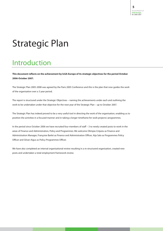# Strategic Plan

## Introduction

**This document reflects on the achievement by ILGA-Europe of its strategic objectives for the period October 2006-October 2007.**

The Strategic Plan 2005-2008 was agreed by the Paris 2005 Conference and this is the plan that now guides the work of the organisation over a 3 year period.

The report is structured under the Strategic Objectives – naming the achievements under each and outlining the work to be undertaken under that objective for the next year of the Strategic Plan – up to October 2007.

The Strategic Plan has indeed proved to be a very useful tool in directing the work of the organisation, enabling us to position the activities in a focused manner and in taking a longer timeframe for work projects/ programmes.

In the period since October 2006 we have recruited four members of staff – 3 to newly created posts to work in the areas of Finance and Administration, Policy and Programmes. We welcome Olimpia Ciripoiu as Finance and Administration Manager, Françoise Barlet as Finance and Administration Officer, Aija Salo as Programmes Policy Officer and Silvan Aigus as Policy Programmes Officer.

We have also completed an internal organisational review resulting in a re-structured organisation, created new posts and undertaken a total employment framework review.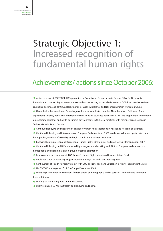## Strategic Objective 1: Increased recognition of fundamental human rights

### Achievements/ actions since October 2006:

**\*** Active presence at OSCE/ ODIHR (Organization for Security and Co-operation in Europe/ Office for Democratic Institutions and Human Rights) events – successful mainstreaming of sexual orientation in ODIHR work on hate crimes and police training, and continued lobbying for inclusion in Tolerance and Non-Discrimination work programme **\*** Using the implementation of Copenhagen criteria for candidate countries, Neighbourhood Policy and Trade agreements to lobby at EU level in relation to LGBT rights in countries other than EU25 – development of information on candidate countries on how to document developments in this area, meetings with member organisations in Turkey, Macedonia and Croatia

- **\*** Continued lobbying and updating of dossier of human rights violations in relation to freedom of assembly
- **\*** Continued lobbying and interventions at European Parliament and OSCE in relation to human rights, hate crimes, homophobia, freedom of assembly and right to hold Pride/ Tolerance Parades
- **\*** Capacity Building session on International Human Rights Mechanisms and monitoring –Romania, April 2007
- **\*** Continued lobbying on EU Fundamental Rights Agency, and working with FRA on European wide research on homophobia and discrimination on ground of sexual orientation
- **\*** Extension and development of ILGA-Europe's Human Rights Violations Documentation Fund
- **\*** Implementation of Advocacy Project funded through OSI and Sigrid Rausing Trust
- **\*** Continuation of Health Advocacy project with COC on Prevention and Education in Newly Independent States
- **\*** UN ECOSOC status gained for ILGA-Europe December, 2006
- **\*** Lobbying with European Parliament for resolutions on homophobia and in particular homophobic comments from politicians
- **\*** Drafting of Monitoring Hate Crimes document
- **\*** Submissions on EU-Africa strategy and lobbying on Nigeria.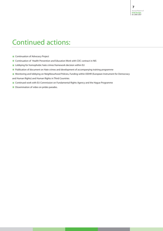## Continued actions:

- **\*** Continuation of Advocacy Project
- **\*** Continuation of Health Prevention and Education Work with COC contract in NIS
- **\*** Lobbying for homophobic hate crimes framework decision within EU
- **\*** Publication of document on Hate crimes and development of accompanying training programme
- **\*** Monitoring and lobbying on Neighbourhood Policies, Funding within EIDHR (European Instrument for Democracy
- and Human Rights) and Human Rights in Third Countries
- **\*** Continued work with EU Commission on Fundamental Rights Agency and the Hague Programme
- **\*** Dissemination of video on prides parades.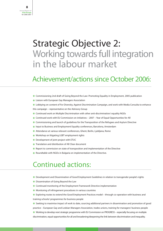## Strategic Objective 2: Working towards full integration in the labour market

## Achievement/actions since October 2006:

- **\*** Commissioning 2nd draft of Going Beyond the Law: Promoting Equality in Employment, 2005 publication
- **\*** Liaison with European Gay Managers Association
- **\*** Lobbying on content of For Diversity, Against Discrimination Campaign, and work with Media Consulta to enhance this campaign – representative on the Advisory Group
- **\*** Continued work on Multiple Discrimination with other anti-discrimination/ equality NGOs
- **\*** Continued work with EU Commission on initiatives 2007 Year of Equal Opportunities for All
- **\*** Commissioning and launch of guidelines for the Transposition of the Refugees and Asylum Directive
- **\*** Input to Business and Employment Equality conferences, Barcelona, Amsterdam
- **\*** Attendance at various relevant conferences, Ghent, Berlin, Ljubljana, Rome
- **\*** Workshop on litigating LGBT employment rights
- **\*** Development of joint project with ETUC
- **\*** Translation and distribution of All Clear document
- **\*** Report to commission on state of transposition and implementation of the Directive
- **\*** Roundtable with NGOs in Bulgaria on implementation of the Directive.

#### Continued actions:

- **\*** Development and Dissemination of Good Employment Guidelines in relation to transgender people's rights
- **\*** Dissemination of Going Beyond the Law
- **\*** Continued monitoring of the Employment Framework Directive implementation
- **\*** Monitoring of infringement procedures in various countries
- **\*** Exploring routes to extend the Good Employment Practices model through co-operation with business and training schools/ programmes for business people

**\*** Seeking to maximise impact of work to date, sourcing additional partners in dissemination and promotion of good practice – European Gay and Lesbian Managers Association, trades unions, training for managers/ business people

**\*** Working to develop next strategic programme with EU Commission on PROGRESS – especially focusing on multiple

discrimination, equal opportunities for all and broadening/deepening the link between discrimination and inequality.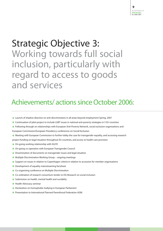## Strategic Objective 3: Working towards full social inclusion, particularly with regard to access to goods and services

## Achievements/ actions since October 2006:

- **\*** Launch of shadow directive on anti-discrimination in all areas beyond employment Spring, 2007
- **\*** Continuation of pilot project to include LGBT issues in national anti-poverty strategies in 5 EU countries
- **\*** Following through on relationships with European Anti-Poverty Network, social exclusion organisations and European Commission/European Presidency conferences on Social Exclusion
- **\*** Meeting with European Commission to further lobby the case for transgender equality, and accessing research

project funding on legal situation throughout EU countries, and access to health care provision

- **\*** On-going working relationship with IGLYO
- **\*** On-going co-operation with European Transgender Council
- **\*** Dissemination of documents on transgender issues and legal situation
- **\*** Multiple Discrimination Working Group ongoing meetings
- **\*** Support on issues in relation to Copenhagen criteria in relation to accession for member organisations
- **\*** Development of equality mainstreaming factsheet
- **\*** Co-organising conference on Multiple Discrimination
- **\*** Co-ordination of research consortium tender to DG Research on social inclusion
- **\*** Submission on health, mental health and sucidality
- **\*** Health Advocacy seminar
- **\*** Declaration on homophobic bullying in European Parliament
- **\*** Presentation to International Planned Parenthood Federation AGM.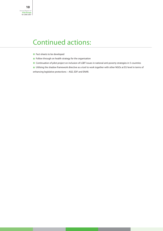## Continued actions:

- **\*** Fact-sheets to be developed
- **\*** Follow through on health strategy for the organisation
- **\*** Continuation of pilot project on inclusion of LGBT issues in national anti-poverty strategies in 5 countries

**\*** Utilising the shadow framework directive as a tool to work together with other NGOs at EU level in terms of enhancing legislative protections – AGE, EDF and ENAR.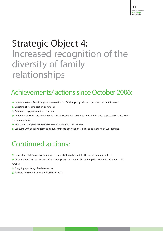# Strategic Object 4: Increased recognition of the diversity of family relationships

## Achievements/ actions since October 2006:

- **\*** Implementation of work programme seminar on families policy held, two publications commissioned
- **\*** Updating of website section on families
- **\*** Continued support to suitable test cases
- **\*** Continued work with EU Commission's Justice, Freedom and Security Directorate in area of possible families work –
- the Hague criteria
- **\*** Monitoring European Families Alliance for inclusion of LGBT families
- **\*** Lobbying with Social Platform colleagues for broad definition of families to be inclusive of LGBT families.

## Continued actions:

- **\*** Publication of document on human rights and LGBT families and the Hague programme and LGBT
- **\*** distribution of new reports and of fact-sheet/policy statements of ILGA-Europe's positions in relation to LGBT families
- **\*** On-going up-dating of website section
- **\*** Possible seminar on families in Slovenia in 2008.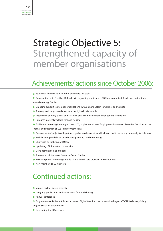## Strategic Objective 5: Strengthened capacity of member organisations

### Achievements/ actions since October 2006:

- **\*** Study visit for LGBT human rights defenders , Brussels
- **\*** Co-operation with Frontline Defenders in organising seminar on LGBT human rights defenders as part of their annual meeting, Dublin
- **\*** On-going support to member organisations through Euro-Letter, Newsletter and website
- **\*** Training workshops on advocacy and lobbying in Macedonia
- **\*** Attendance at many events and activities organised by member organisations (see below)
- **\*** Resource material available through website
- **\*** EU Network meeting focusing on Year 2007, implementation of Employment Framework Directive, Social Inclusion Process and litigation of LGBT employment rights
- **\*** Development of projects with partner organisations in area of social inclusion, health, advocacy, human rights violations
- **\*** Skills building workshops on advocacy planning , and monitoring
- **\*** Study visit on lobbying at EU level
- **\*** Up-dating of information on website
- **\*** Development of IE as a funder
- **\*** Training on utilisation of European Social Charter
- **\*** Research project on transgender legal and health care provision in EU countries
- **\*** New members to EU Network.

#### Continued actions:

- **\*** Various partner-based projects
- **\*** On-going publications and information flow and sharing
- **\*** Annual conference
- **\*** Programmes activities in Advocacy, Human Rights Violations documentation Project, COC NIS advocacy/lobby
- project, Social Inclusion Project
- **\*** Developing the EU network.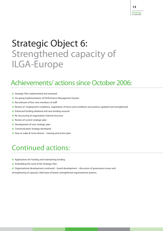# Strategic Object 6: Strengthened capacity of ILGA-Europe

### Achievements/ actions since October 2006:

- **\*** Strategic Plan implemented and reviewed
- **\*** On-going implementation of Performance Management System
- **\*** Recruitment of four new members of staff
- **\*** Review of employment conditions, negotiation of terms and conditions and systems updated and strengthened
- **\*** Enhanced funding obtained and new funding sourced
- **\*** Re-structuring of organisation internal structure
- **\*** Review of current strategic plan
- **\*** Development of next strategic plan
- **\*** Communication strategy developed
- **\*** How to make IE more diverse training and action plan.

### Continued actions:

- **\*** Applications for funding and maintaining funding
- **\*** Embedding the work of the Strategic Plan
- **\*** Organisational development continued board development discussion of governance issues and

strengthening of capacity/ skills base of board, strengthened organisational systems.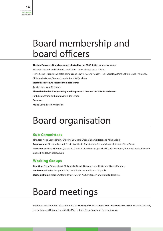## Board membership and board officers

#### **The ten Executive Board members elected by the 2006 Sofia conference were:**

Riccardo Gottardi and Deborah Lambillotte – both elected as Co-Chairs.

Pierre Serne – Treasurer, Lisette Kampus and Martin K.I. Christensen – Co- Secretary; Miha Lobnik, Linda Freimane,

Christine Le Doaré, Tomasz Szypula, Ruth Baldacchino

**Elected as first two reserve members were:**

Jackie Lewis, Vera Cimpeanu

**Elected to be the European Regional Representatives on the ILGA Board were:**

Ruth Baldacchino and Janfrans van der Eerden

**Reserves:**

Jackie Lewis, Søren Andersson

## Board organisation

#### **Sub-Committees**

**Finance:** Pierre Serne (chair), Christine Le Doaré, Deborah Lambillotte and Miha Lobnik **Employment:** Riccardo Gottardi (chair), Martin K.I. Christensen, Deborah Lambillotte and Pierre Serne Governance: Lisette Kampus (co-chair), Martin K.I. Christensen, (co-chair), Linda Freimane, Tomasz Szypuła, Riccardo Gottardi and Ruth Baldacchino

#### **Working Groups**

**Granting:** Pierre Serne (chair), Christine Le Doaré, Deborah Lambillotte and Lisette Kampus **Conference:** Lisette Kampus (chair), Linda Freimane and Tomasz Szypula , **Strategic Plan:** Riccardo Gottardi (chair), Martin K.I. Christensen and Ruth Baldacchino

# Board meetings

The board met after the Sofia conference on **Sunday 29th of October 2006. In attendance were:** Riccardo Gottardi, Lisette Kampus, Deborah Lambillotte, Miha Lobnik, Pierre Serne and Tomasz Szypula**.** ,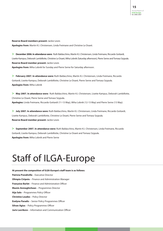**Reserve Board members present:** Jackie Lewis **Apologies from:** Martin K.I. Christensen, Linda Freimane and Christine Le Doaré.

**> December 2006. In attendance were:** Ruth Baldacchino, Martin K.I. Christensen, Linda Freimane, Riccardo Gottardi, Lisette Kampus, Deborah Lambillotte, Christine Le Doaré, Miha Lobnik (Saturday afternoon), Pierre Serne and Tomasz Szypula. , **Reserve Board member present:** Jackie Lewis **Apologies from:** Miha Lobnik for Sunday and Pierre Serne for Saturday afternoon.

**> February 2007. In attendance were:** Ruth Baldacchino, Martin K.I. Christensen, Linda Freimane, Riccardo Gottardi, Lisette Kampus, Deborah Lambillotte, Christine Le Doaré, Pierre Serne and Tomasz Szypula. , **Apologies from:** Miha Lobnik

**> May 2007. In attendance were:** Ruth Baldacchino, Martin K.I. Christensen, Lisette Kampus, Deborah Lambillotte, Christine Le Doaré, Pierre Serne and Tomasz Szypula. , **Apologies:** Linda Freimane, Riccardo Gottardi (11-13 May), Miha Lobnik (12-13 May) and Pierre Serne (13 May).

**> July 2007. In attendance were:** Ruth Baldacchino, Martin K.I. Christensen, Linda Freimane, Riccardo Gottardi, Lisette Kampus, Deborah Lambillotte, Christine Le Doaré, Pierre Serne and Tomasz Szypula. , **Reserve Board member present:** Jackie Lewis

**> September 2007. In attendance were:** Ruth Baldacchino, Martin K.I. Christensen, Linda Freimane, Riccardo Gottardi, Lisette Kampus, Deborah Lambillotte, Christine Le Doaré and Tomasz Szypula. ,**Apologies from:** Miha Lobnik and Pierre Serne

# Staff of ILGA-Europe

**At present the composition of ILGA-Europe's staff team is as follows: Patricia Prendiville** – Executive Director **Olimpia Ciripoiu** – Finance and Administration Manager Françoise Barlet - Finance and Administration Officer **Maxim Anmeghichean** – Programmes Director **Aija Salo** – Programmes Policy Officer **Christine Loudes** – Policy Director **Evelyne Paradis** – Senior Policy Programmes Officer **Silvan Agius** – Policy Programmes Officer **Juris Lavrikovs** – Information and Communication Officer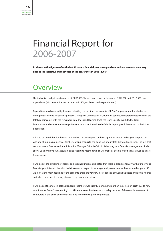## Financial Report for 2006-2007

**As shown in the figures** *below* **the last 12 month financial year was a good one and our accounts were very close to the indicative budget voted at the conference in Sofia (2006).**

#### **Overview**

The indicative budget was balanced at € 892 000. The accounts show an income of € 914 000 and € 912 500 euros expenditure (with a technical net income of  $\epsilon$  1500, explained in the spreadsheets).

Expenditure was balanced by income, reflecting the fact that the majority of ILGA-Europe's expenditure is derived from grants awarded for specific purposes. European Commission (EC) funding contributed approximately 60% of the total grant income, with the remainder from the Sigrid Rausing Trust, the Open Society Institute, the Tides Foundation, and some member organisations, who contributed to the Scholarship Angels Scheme and to the Prides publication.

It has to be noted that for the first time we had no underspend of the EC grant. As written in last year's report, this was one of our main objectives for the year and, thanks to the good job of our staff, it is totally achieved. The fact that we now have a Finance and Administration Manager, Olimpia Ciripoiu, is helping us in financial management. It also allows us to improve our accounting and reporting methods which will make us even more efficient, as well as clearer for members.

If we look at the structure of income and expenditure it can be noted that there is broad continuity with our previous financial year. It is also clear that both income and expenditure are generally consistent with what was budgeted. If we look at the main headings of the accounts, there are very few discrepancies between budgeted and actual figures, and when there are, it is always balanced by another heading.

If we look a little more in detail, it appears that there was slightly more spending than expected on **staff**, due to new recruitments. Same "overspending" on **office and coordination** costs, notably because of the complete renewal of computers in the office and some costs due to our moving to new premises.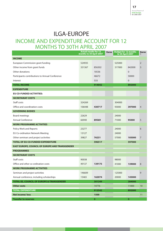#### INCOME AND EXPENDITURE ACCOUNT FOR 12 MONTHS TO 30TH APRIL 2007 ILGA-EUROPE

|                                                      | <b>Actual results for 12</b><br>months to 30 April 2007 |           | <b>Euros</b> | <b>Budget for 12 months</b><br>to 30 April 2007 |              | <b>Euros</b>   |
|------------------------------------------------------|---------------------------------------------------------|-----------|--------------|-------------------------------------------------|--------------|----------------|
| <b>INCOME</b>                                        |                                                         |           |              |                                                 |              |                |
| European Commission grant funding                    | 524935                                                  |           |              | 525000                                          |              | $\overline{2}$ |
| Other income from grant funds                        | 331367                                                  | 856302    |              | 317000                                          | 842000       | 3              |
| Other donations                                      |                                                         | 10536     |              |                                                 | $\mathbf{0}$ |                |
| Participants contributions to Annual Conference      |                                                         | 46672     |              |                                                 | 50000        |                |
| Interest                                             |                                                         | 533       |              |                                                 | $\mathbf{0}$ |                |
| <b>TOTAL INCOME</b>                                  |                                                         | 914042    |              |                                                 | 892000       |                |
| <b>EXPENDITURE</b>                                   |                                                         |           |              |                                                 |              |                |
| EU CO-FUNDED ACTIVITIES:                             |                                                         |           |              |                                                 |              |                |
| <b>SECRETARIAT COSTS</b>                             |                                                         |           |              |                                                 |              |                |
| Staff costs                                          | 324269                                                  |           |              | 304000                                          |              |                |
| Office and coordination costs                        | 106448                                                  | 430717    |              | 93000                                           | 397000       | $\overline{4}$ |
| <b>GOVERNING BODIES</b>                              |                                                         |           |              |                                                 |              |                |
| Board meetings                                       | 22629                                                   |           |              | 24000                                           |              |                |
| Annual Conference                                    | 66940                                                   | 89569     |              | 71000                                           | 95000        | 5              |
| <b>WORK PROGRAMME ACTIVITIES</b>                     |                                                         |           |              |                                                 |              |                |
| Policy Work and Reports                              | 23277                                                   |           |              | 24000                                           |              | 6              |
| EU Co-ordination Network Meeting                     | 13127                                                   |           |              | 24000                                           |              |                |
| Other seminars and project activities                | 39827                                                   | 76231     |              | 57000                                           | 105000       | $\overline{7}$ |
| <b>TOTAL OF EU CO-FUNDED EXPENDITURE</b>             |                                                         | 596517    |              |                                                 | 597000       |                |
| EAST EUROPE, COUNCIL OF EUROPE AND TRANSGENDER       |                                                         |           |              |                                                 |              |                |
| <b>PROGRAMMES</b>                                    |                                                         |           |              |                                                 |              |                |
| <b>SECRETARIAT COSTS</b>                             |                                                         |           |              |                                                 |              |                |
| Staff costs                                          | 90038                                                   |           |              | 98000                                           |              |                |
| Office and other co-ordination costs                 | 49137                                                   | 139175    |              | 41000                                           | 139000       | 8              |
| <b>WORK PROGRAMME ACTIVITIES</b>                     |                                                         |           |              |                                                 |              |                |
| Seminars and project activities                      | 146609                                                  |           |              | 125000                                          |              | 9              |
| Annual conference, including scholarships            | 15465                                                   | 162074    |              | 20000                                           | 145000       |                |
| <b>TOTAL EE, COUNCIL OF EUROPE &amp; TRANSGENDER</b> |                                                         | 301249    |              |                                                 | 284000       |                |
| <b>Other costs</b>                                   |                                                         | 14776     |              |                                                 | 11000        | 10             |
| <b>TOTAL EXPENDITURE</b>                             |                                                         | 912542    |              |                                                 | 892000       |                |
| <b>Net income/loss</b>                               |                                                         | 1500      |              |                                                 |              | 11             |
| <b>Transfer to reserves</b>                          |                                                         | $\bullet$ |              |                                                 | $\pmb{0}$    |                |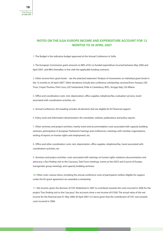#### **NOTES ON THE ILGA-EUROPE INCOME AND EXPENDITURE ACCOUNT FOR 12 MONTHS TO 30 APRIL 2007**

**1.** The Budget is the indicative budget approved at the Annual Conference in Sofia.

**2.** The European Commission grant amounts to 88% of EU co-funded expenditure incurred between May 2006 and April 2007, and 88% thereafter, in line with the applicable funding contracts.

**3.** Other income from grant funds – see the attached statement "Analysis of movements on individual grant funds in the 12 months to 30 April 2007". Other donations include also conference scholarships received from: Astraea, CEE Trust, Crispin Thurlow, Pink Cross, LOS Switzerland, Pride in Canterbury, RSFL, Arcigay Italy, CIG Milano

**4.** Office and coordination costs: rent, depreciation, office supplies, telephone/fax, evaluation services, travel associated with coordination activities, etc.

**5.** Annual Conference: this heading includes all elements that are eligible for EU financial support.

**6.** Policy work and information dissemination: the newsletter, website, publications and policy reports

**7.** Other seminars and project activities: mainly travel and accommodation costs associated with capacity building seminars, participation in European Parliament hearings and conferences, meetings with member organisations, writing of reports on human rights and employment, etc.

**8.** Office and other coordination costs: rent, depreciation, office supplies, telephone/fax, travel associated with coordination activities, etc

**9.** Seminars and project activities: costs associated with trainings on human rights violations documentation and advocacy, a fact finding visit to the Caucasus, Task Force meetings, events at the OSCE and Council of Europe, transgender group meetings, and capacity building seminars.

**10.** Other costs: various items, including the annual conference costs of participants neither eligible for support under the EU grant agreement nor awarded a scholarship.

**11.** Net income: given the decision of COC Nederland in 2007 to contribute towards the costs incurred in 2006 for the project "Fact finding visit to the Caucasus", the accounts show a net income of €1500. The actual value of the net income for the financial year 01 May 2006-30 April 2007 is 0 (zero) given that the contribution of COC was towards costs incurred in 2006.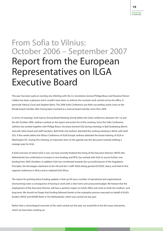## From Sofia to Vilnius: October 2006 – September 2007 Report from the European Representatives on ILGA Executive Board

This year has been quite an exciting one. Working with the Co-Secretaries General Philipp Braun and Rosanna Flamer-Caldera has been a pleasure and it couldn't have been so without the constant work carried out by the office, in particular Patricia Ciurzi and Stephen Barris. The 2006 Sofia Conference saw Ruth succeeding Jackie Lewis as the female board member after having been involved as a reserve board member since Paris 2005.

In terms of meetings, ILGA had its Annual Board Meeting shortly before the Sofia conference, between the 1st and the 6th October 2006. Janfrans worked on the report and action list of this meeting. Since the Sofia Conference Janfrans has worked together with Philipp Braun, Secretary General (SG) during meetings in Bad Godesberg (Bonn) and with other board and staff members. Both Ruth and Janfrans attended the working meeting in Berlin with both SG's. A few weeks before the Vilnius Conference of ILGA-Europe Janfrans attended the board meeting of ILGA in Washington DC. During this meeting, an important item on the agenda was the discussion towards drafting a strategic plan for ILGA.

A brief overview of where ILGA is now: we have recently finalised the hiring of the Executive Director; HIVOS (the Netherlands) has confirmed an increase in core funding; and RFSL has worked with ILGA to secure further core funding from SIDA (Sweden). In addition ILGA has contributed towards the successful launch of the Yogyakarta Principles, the Norwegian statement at the UN and the 5 LGBT NGOs being granted ECOSOC status; and held its first regional conference in Africa and re-vitalised ILGA Africa.

The reason for pointing these funding updates is that up till now a number of operational and organisational shortcomings were a consequence of having to work with a short term and unsecured budget. We foresee that the employment of the Executive Director will have a positive impact on ILGA's office and work on both the medium- and long-term. We should not forget that funding followed thanks to the evaluation process executed on behalf of ILGA's funders HIVOS and NOVIB (both in The Netherlands), which was carried out last year.

Rather than a chronological overview of the work carried out this year, we would like to list the issues and points, which we have been working on: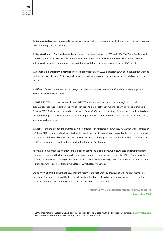**1. Communication:** developing better or rather new ways of communications with all the regions has been a priority in our meetings and discussions.

**2. Registration of ILGA** since Belgian law on associations was changed in 2002 and 2004. The World Conference in 2006 decided that the ILGA Board can update the constitution to be in line with the new law. Janfrans worked on this with several consultants and prepared an updated constitution which was accepted by the ILGA Board.

**3. Membership and its involvement:** There is ongoing review of ILGA's membership, which Ruth has been working on together with Rosanna (SG). This work includes also discussions and work on membership database and related matters.

**4. Office:** ILGA's office has seen some changes this year with interns, part-time staff and the recently appointed Executive Director, Trevor Cook.

**5. ILGA & IGLYO':** Ruth has been working with IGLYO and discussed various actions through which both organisations can work together. The first of such actions is a global youth mailing list, which will be launched in October 2007. Ruth has been invited to represent ILGA at IGLYO's general meeting of members and will be holding further meetings as a way to strengthen the working relationships between the 2 organisations and include LGBTQ youth within ILGA's focus.

**6. Events:** Janfrans attended the Company Pride Conference in Amsterdam in August 2007, which was organised by ING Bank, TNT Logistics and Mail and dealt with diversity policy of international companies. Janfrans also attended the opening of the new library of IHLIA<sup>2</sup> in Amsterdam. IHLIA is the organisation that holds the official ILGA archive and this is now a special desk in the general public library in Amsterdam.

As we said in our introduction, this year has been an active and exciting one. With new board and staff members, revitalised regions and further funding ILGA has a very promising year looking ahead of it. With a Board actively working on developing a strategic plan for ILGA and a World Conference only a few months down the road, we are looking forward to see how this new chapter in ILGA's history will unfold.

We do know and would like to acknowledge the fact that the hard work by previous board and staff members is bearing its fruit, and we would like to thank all involved for that. That said we are looking forward to use that pool of work and information on our next steps in our bid to further strengthen ILGA.

> **JANFRANS VAN DER EERDEN AND RUTH BALDACCHINO September 2007**

<sup>1</sup> IGLYO: International Lesbian, Gay, Bisexual, Transgender and Queer Youth and Student Organisation, **www.iglyo.com** <sup>2</sup> IHLIA: International Homo/Lesbian Information Centre and Archives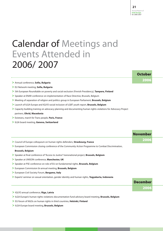# Calendar of Meetings and Events Attended in 2006/ 2007

- **>** Annual conference, **Sofia, Bulgaria**
- **>** EU Network meeting, **Sofia, Bulgaria**
- **>** 5th European Roundtable on poverty and social exclusion (Finnish Presidency), **Tampere, Finland**
- **>** Speaker at ENAR conference on implementation of Race Directive, Brussels, Belgium
- **>** Meeting of separation of religion and politics group in European Parliament, **Brussels, Belgium**
- **>** Launch of ILGA-Europe and IGLYO social inclusion of LGBT youth report, **Brussels, Belgium**
- **>** Capacity building training on advocacy planning and documenting human rights violations for Advocacy Project partners, **Ohrid, Macedonia**
- **>** Existrans, march for Trans people, **Paris, France**
- **>** ILGA board meeting, **Geneva, Switzerland**

**>** Council of Europe colloquium on human rights defenders, **Strasbourg, France >** European Commission closing conference of the Community Action Programme to Combat Discrimination, **Brussels, Belgium >** Speaker at final conference of "Access to Justice" transnational project, **Brussels, Belgium >** Speaker at UNISON conference, **Manchester, UK >** Speaker at PSE conference on role of EU on fundamental rights, **Brussels, Belgium >** European Commission bi-annual meeting, **Brussels, Belgium >** European Civil Society Forum, **Bergamo, Italy >** Experts' seminar on sexual orientation, gender identity and human rights, **Yogyakarta, Indonesia November 2006 December 2006**

**>** IGLYO annual conference, **Riga, Latvia**

**>** ILGA-Europe's human rights violations documentation fund advisory board meeting, **Brussels, Belgium**

- **>** EU forum of NGOs on human rights in third countries, **Helsinki, Finland**
- **>** ILGA-Europe board meeting, **Brussels, Belgium**

#### **October 2006**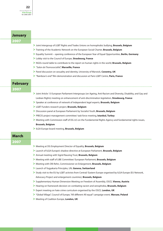#### **>** Joint Intergroup of LGBT Rights and Trades Unions on homophobic bullying, **Brussels, Belgium >** Training of the Academic Network on the European Social Charter, **Brussels, Belgium >** Equality Summit – opening conference of the European Year of Equal Opportunities, **Berlin, Germany >** Lobby visit to the Council of Europe, **Strasbourg, France >** NGOs round table to contribute to the report on human rights in the world, **Brussels, Belgium >** "Salon de l'homosocialité", **Marseille, France >** Panel discussion on sexuality and identity, University of Warwick, **Coventry, UK >** "Rainbow's end" film demonstration and discussion at Paris LGBT Centre, **Paris, France >** Joint Article 13 European Parliament Intergroups (on Ageing, Anti-Racism and Diversity, Disability, and Gay and Lesbian Rights) meeting on enhancement of anti-discrimination legislation, **Strasbourg, France >** Speaker at conference of network of Independent legal experts, **Brussels, Belgium >** LGBT Funders research project, **Brussels, Belgium >** Discussion panel at European Parliament by Socialist Youth, **Brussels, Belgium >** PRECIS project management committee/ task force meeting, **Istanbul, Turkey >** Meeting with Commission staff of DG JLS on the Fundamental Rights Agency and fundamental rights issues, **Brussels, Belgium >** ILGA-Europe board meeting, **Brussels, Belgium January 2007 February 2007 March 2007 >** Meeting at DG Employment Director of Equality, **Brussels, Belgium >** Launch of ILGA-Europe's shadow directive at European Parliament, **Brussels, Belgium >** Annual meeting with Sigrid Rausing Trust, **Brussels, Belgium >** Meeting with staff of LIBE Committee/ European Parliament, **Brussels, Belgium >** Meeting with Olli Rehn, Commissioner on Enlargement, **Brussels, Belgium >** Launch of Yogyakarta Principles, UN, **Geneva, Switzerland >** Study visit to the EU by LGBT activists from Central/ Eastern Europe organised by ILGA-Europe (EU Network, Advocacy Project and enlargement countries), **Brussels, Belgium >** Supplementary Human Dimension Meeting on Freedom of Assembly, OSCE, **Vienna, Austria >** Hearing on framework decision on combating racism and xenophobia, **Brussels, Belgium >** Expert meeting on hate crime curriculum organised by the OSCE, **London, UK >** "Global Village", Council of Europe, "All different All equal" campaign event, **Warsaw, Poland**

**>** Meeting of Coalition Europe, **London, UK**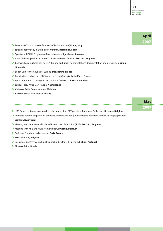|                                                                                                                | <b>April</b> |
|----------------------------------------------------------------------------------------------------------------|--------------|
|                                                                                                                | 2007         |
| > European Commission conference on "Positive Action", <b>Rome, Italy</b>                                      |              |
| > Speaker at Diversity in Business conference, <b>Barcelona, Spain</b>                                         |              |
| > Speaker at EQUAL Programme final conference, Ljubljana, Slovenia                                             |              |
| > Internal development session on families and LGBT families, Brussels, Belgium                                |              |
| > Capacity building trainings by ILGA-Europe on human rights violations documentation and using video, Sinaia, |              |
| <b>Romania</b>                                                                                                 |              |
| > Lobby visit to the Council of Europe, Strasbourg, France                                                     |              |
| > Pre-elections debate on LGBT issues by French Socialist Party, Paris, France                                 |              |
| > Pride monitoring training for LGBT activists from NIS, Chisinau, Moldova                                     |              |
| > Labour Party Africa Day, Haque, Netherlands                                                                  |              |
| > Chisinau Pride Demonstration, Moldova                                                                        |              |
| > Krakow March of Tolerance, Poland                                                                            |              |
|                                                                                                                |              |
|                                                                                                                | <b>May</b>   |
|                                                                                                                | 2007         |
| > LIBE Group conference on freedom of assembly for LGBT people at European Parliament, Brussels, Belgium       |              |
| > Intensive training on planning advocacy and documenting human rights violations for PRECIS Project partners, |              |

#### **Bishkek, Kyrgyzstan**

- **>** Meeting with International Planned Parenthood Federation (IPPF), **Brussels, Belgium**
- **>** Meeting with MPs and MEPs from Sweden, **Brussels, Belgium**
- **>** Colloque Coordination Lesbienne, **Paris, France**
- **> Brussels** Pride, **Belgium**
- **>** Speaker at Conference on Equal Opportunities for LGBT people, **Lisbon, Portugal**
- **> Moscow** Pride, **Russia**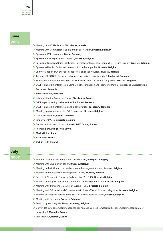#### **June 2007**

- **>** Meeting of NGO Platform of FRA, **Vienna, Austria**
- **>** Meeting with Commissioner Spidla and Social Platform, **Brussels, Belgium**
- **>** Speaker at IPPF conference, **Berlin, Germany**
- **>** Speaker at AGE Expect group meeting, **Brussels, Belgium**
- **>** Speaker at European Union institutions internal development session on LGBT issues equality, **Brussels, Belgium**
- **>** Speaker to Flemish Parliament on resolution on homophobia, **Brussels, Belgium**
- **>** 2nd Workshop of ILGA-Europe's pilot project on social inclusion, **Brussels, Belgium**
- **>** Training of EQUINET (European network of specialised equality bodies), **Bucharest, Romania**
- **>** European Commission meeting of the High Level Group on Demography Issues, **Brussels, Belgium**
- **>** OSCE High Level Conference on Combating Discrimination and Promoting Mutual Respect and Understanding, **Bucharest, Romania**
- **> Bucharest** Pride, **Romania**
- **>** Lobby visit to the Council of Europe, **Strasbourg, France**
- **>** OSCE expert meeting on hate crime, **Bucharest, Romania**
- **>** OSCE High Level Conference on anti-discrimination, **Bucharest, Romania**
- **>** Meeting on enlargement with DG Enlargement, **Brussels, Belgium**
- **>** ILGA work meeting, **Berlin, Germany**
- **>** Employment Week, **Brussels, Belgium**
- **>** Debate on international solidarity **Paris** LGBT Center, **France**
- **>** Friendship Days/ **Riga** Pride, **Latvia**
- **> Madrid** Pride, **Spain**
- **> Paris** Pride, **France**
- **> Dublin** Pride, **Ireland**

#### **July 2007**

- **>** Members meeting on Strategic Plan Development, **Budapest, Hungary**
- **>** Meeting with Chairperson of FRA, **Brussels, Belgium**
- **>** Meeting in the FRA with the newly appointed management board, **Brussels, Belgium**
- **>** Meeting on the research on homophobia in FRA, **Brussels, Belgium**
- **>** Speech at PSI event in European Parliament on Year 2007, **Brussels, Belgium**
- **>** Meeting of European Parliament's Intergroup on Transgender issues, **Brussels, Belgium**
- **>** Meeting with Transgender Council of Europe TGEU, **Brussels, Belgium**
- **>** Meeting with DG Health and Consumer Affairs (part of Social Platform delegation), **Brussels, Belgium**
- **>** Meeting at European Policy Centre "Sustainable Financing for NGOs", **Brussels, Belgium**
- **>** Meeting with Interights, **Brussels, Belgium**
- **>** Seminar by Wel Jong Niet Hetero, **Antwerp, Belgium**
- **>** Universités d'été euroméditerranéennes des homosexualités (Homosexualities euromediterranean summer universities), **Marseille, France**
- **>** Visit to GALCK, **Nairobi, Kenya**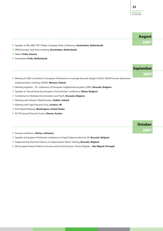|                                                                                                              | <b>August</b>            |  |
|--------------------------------------------------------------------------------------------------------------|--------------------------|--|
|                                                                                                              | 2007                     |  |
| > Speaker at ING, IBM, TNT, Philips Company Pride Conference, Amsterdam, Netherlands                         |                          |  |
| > PRECIS project task force meeting, Amsterdam, Netherlands                                                  |                          |  |
| > Tallinn Pride, Estonia                                                                                     |                          |  |
| > Amsterdam Pride, Netherlands                                                                               |                          |  |
|                                                                                                              | <b>September</b><br>2007 |  |
| > Meeting of LIBE Committee in European Parliament on marriage Brussels, Belgium OSCE/ ODIHR human dimension |                          |  |
| implementation meeting (HDIM), Warsaw, Poland                                                                |                          |  |
| > Working together - EC conference of European neighbourhood policy (ENP), Brussels, Belgium                 |                          |  |
| > Speaker at "Sexual Diversity, European (Comm)Unity" conference, Ghent, Belgium                             |                          |  |
| > Conference on Multiple Discrimination and Youth, Brussels, Belgium                                         |                          |  |
| > Meeting with Atlantic Philanthropies, Dublin, Ireland                                                      |                          |  |
| > Meeting with Sigrid Rausng Trust, London, UK                                                               |                          |  |
| > ILGA Board Meeting, Washington, United States                                                              |                          |  |
| > El/ PSI Sexual Diversity Forum, Vienna, Austria                                                            |                          |  |
|                                                                                                              |                          |  |
|                                                                                                              | <b>October</b>           |  |
|                                                                                                              | 2007                     |  |

- **>** Annual conference, **Vilnius, Lithuania**
- **>** Speaker at European Parliament conference on Equal Opportunities for All, **Brussels, Belgium**
- **>** Implementing Diversity Policies on Organisations' Work, Training, **Brussels, Belgium**
- > 6th European Round Table on Poverty and Social Exclusion, Ponta Delgada **Sáo Miguel, Portugal**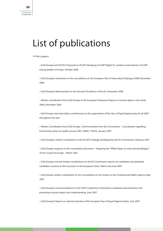# List of publications

#### • Policy papers:

**\*** ILGA-Europe and IGLYO's Proposals to the EP Intergroup of LGBT Rights To combat social exclusion of LGBT young people in Europe, October 2006

**\*** ILGA-Europe's submission to the consultation on the European Year of Intercultural Dialogue 2008, November 2006

**\*** ILGA-Europe's Memorandum to the German Presidency of the EU, December 2006

**\*** Written contribution from ILGA-Europe to the European Parliament Report on human rights in the world 2006, December 2006

**\*** ILGA-Europe oral and written contributions to the organisation of the Year of Equal Opportunity for all 2007, throughout the year

**\*** Written Contribution from ILGA-Europe Communication from the Commission – Consultation regarding Community action on health services (SEC (2006) 1195/4), January 2007

**\*** ILGA-Europe's written contribution to the EU-ACP Strategy developed by the EU Commission, February 2007

**\*** ILGA-Europe response to the consultation document - Preparing the "White Paper on intercultural dialogue" of the Council of Europe – March 2007

**\*** ILGA-Europe oral and written contributions to the EU Commission reports on candidates and potential candidate countries to the accession to the European Union, March and June 2007

**\*** ILGA-Europe written contribution to the Consultation of civil society on the Fundamental Rights Agency, May 2007

**\*** ILGA-Europe's recommendations to the OSCE Conference in Bucharest combating discrimination and promoting mutual respect and understanding, June 2007

**\*** ILGA-Europe's Report on national activities of the European Year of Equal Opportunities, June 2007